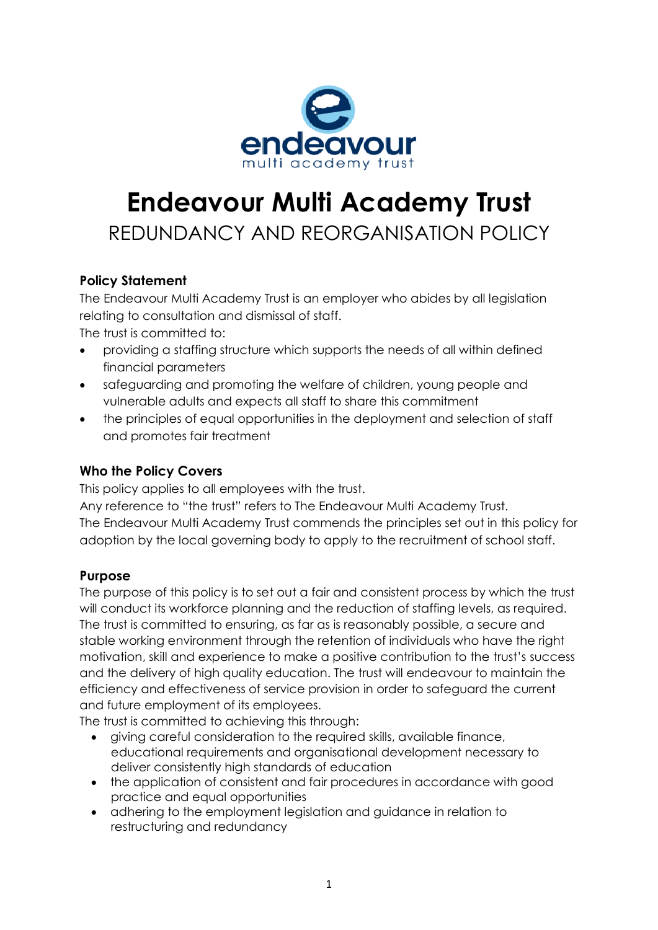

# **Endeavour Multi Academy Trust** REDUNDANCY AND REORGANISATION POLICY

# **Policy Statement**

The Endeavour Multi Academy Trust is an employer who abides by all legislation relating to consultation and dismissal of staff.

The trust is committed to:

- providing a staffing structure which supports the needs of all within defined financial parameters
- safeguarding and promoting the welfare of children, young people and vulnerable adults and expects all staff to share this commitment
- the principles of equal opportunities in the deployment and selection of staff and promotes fair treatment

# **Who the Policy Covers**

This policy applies to all employees with the trust.

Any reference to "the trust" refers to The Endeavour Multi Academy Trust. The Endeavour Multi Academy Trust commends the principles set out in this policy for adoption by the local governing body to apply to the recruitment of school staff.

# **Purpose**

The purpose of this policy is to set out a fair and consistent process by which the trust will conduct its workforce planning and the reduction of staffing levels, as required. The trust is committed to ensuring, as far as is reasonably possible, a secure and stable working environment through the retention of individuals who have the right motivation, skill and experience to make a positive contribution to the trust's success and the delivery of high quality education. The trust will endeavour to maintain the efficiency and effectiveness of service provision in order to safeguard the current and future employment of its employees.

The trust is committed to achieving this through:

- giving careful consideration to the required skills, available finance, educational requirements and organisational development necessary to deliver consistently high standards of education
- the application of consistent and fair procedures in accordance with good practice and equal opportunities
- adhering to the employment legislation and guidance in relation to restructuring and redundancy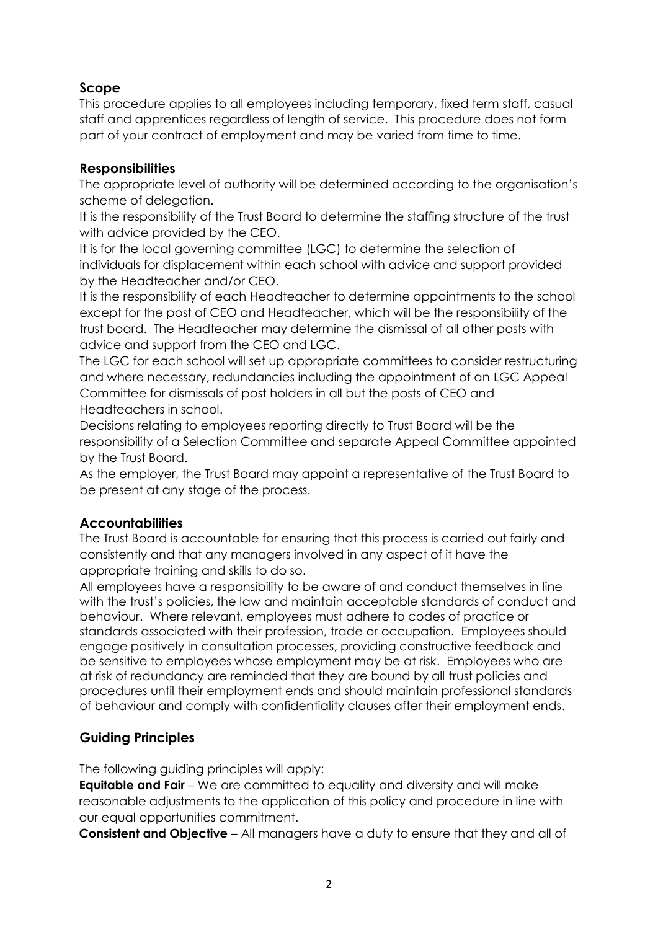# **Scope**

This procedure applies to all employees including temporary, fixed term staff, casual staff and apprentices regardless of length of service. This procedure does not form part of your contract of employment and may be varied from time to time.

# **Responsibilities**

The appropriate level of authority will be determined according to the organisation's scheme of delegation.

It is the responsibility of the Trust Board to determine the staffing structure of the trust with advice provided by the CEO.

It is for the local governing committee (LGC) to determine the selection of individuals for displacement within each school with advice and support provided by the Headteacher and/or CEO.

It is the responsibility of each Headteacher to determine appointments to the school except for the post of CEO and Headteacher, which will be the responsibility of the trust board. The Headteacher may determine the dismissal of all other posts with advice and support from the CEO and LGC.

The LGC for each school will set up appropriate committees to consider restructuring and where necessary, redundancies including the appointment of an LGC Appeal Committee for dismissals of post holders in all but the posts of CEO and Headteachers in school.

Decisions relating to employees reporting directly to Trust Board will be the responsibility of a Selection Committee and separate Appeal Committee appointed by the Trust Board.

As the employer, the Trust Board may appoint a representative of the Trust Board to be present at any stage of the process.

# **Accountabilities**

The Trust Board is accountable for ensuring that this process is carried out fairly and consistently and that any managers involved in any aspect of it have the appropriate training and skills to do so.

All employees have a responsibility to be aware of and conduct themselves in line with the trust's policies, the law and maintain acceptable standards of conduct and behaviour. Where relevant, employees must adhere to codes of practice or standards associated with their profession, trade or occupation. Employees should engage positively in consultation processes, providing constructive feedback and be sensitive to employees whose employment may be at risk. Employees who are at risk of redundancy are reminded that they are bound by all trust policies and procedures until their employment ends and should maintain professional standards of behaviour and comply with confidentiality clauses after their employment ends.

# **Guiding Principles**

The following guiding principles will apply:

**Equitable and Fair** – We are committed to equality and diversity and will make reasonable adjustments to the application of this policy and procedure in line with our equal opportunities commitment.

**Consistent and Objective** – All managers have a duty to ensure that they and all of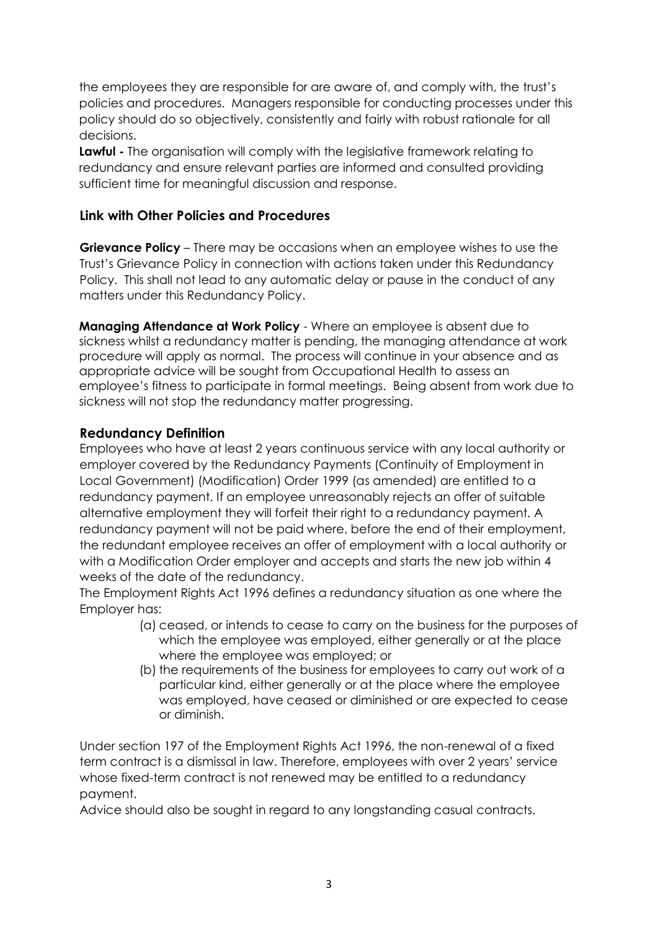the employees they are responsible for are aware of, and comply with, the trust's policies and procedures. Managers responsible for conducting processes under this policy should do so objectively, consistently and fairly with robust rationale for all decisions.

**Lawful** - The organisation will comply with the legislative framework relating to redundancy and ensure relevant parties are informed and consulted providing sufficient time for meaningful discussion and response.

# **Link with Other Policies and Procedures**

**Grievance Policy** – There may be occasions when an employee wishes to use the Trust's Grievance Policy in connection with actions taken under this Redundancy Policy. This shall not lead to any automatic delay or pause in the conduct of any matters under this Redundancy Policy.

**Managing Attendance at Work Policy** - Where an employee is absent due to sickness whilst a redundancy matter is pending, the managing attendance at work procedure will apply as normal. The process will continue in your absence and as appropriate advice will be sought from Occupational Health to assess an employee's fitness to participate in formal meetings. Being absent from work due to sickness will not stop the redundancy matter progressing.

#### **Redundancy Definition**

Employees who have at least 2 years continuous service with any local authority or employer covered by the Redundancy Payments (Continuity of Employment in Local Government) (Modification) Order 1999 (as amended) are entitled to a redundancy payment. If an employee unreasonably rejects an offer of suitable alternative employment they will forfeit their right to a redundancy payment. A redundancy payment will not be paid where, before the end of their employment, the redundant employee receives an offer of employment with a local authority or with a Modification Order employer and accepts and starts the new job within 4 weeks of the date of the redundancy.

The Employment Rights Act 1996 defines a redundancy situation as one where the Employer has:

- (a) ceased, or intends to cease to carry on the business for the purposes of which the employee was employed, either generally or at the place where the employee was employed; or
- (b) the requirements of the business for employees to carry out work of a particular kind, either generally or at the place where the employee was employed, have ceased or diminished or are expected to cease or diminish.

Under section 197 of the Employment Rights Act 1996, the non-renewal of a fixed term contract is a dismissal in law. Therefore, employees with over 2 years' service whose fixed-term contract is not renewed may be entitled to a redundancy payment.

Advice should also be sought in regard to any longstanding casual contracts.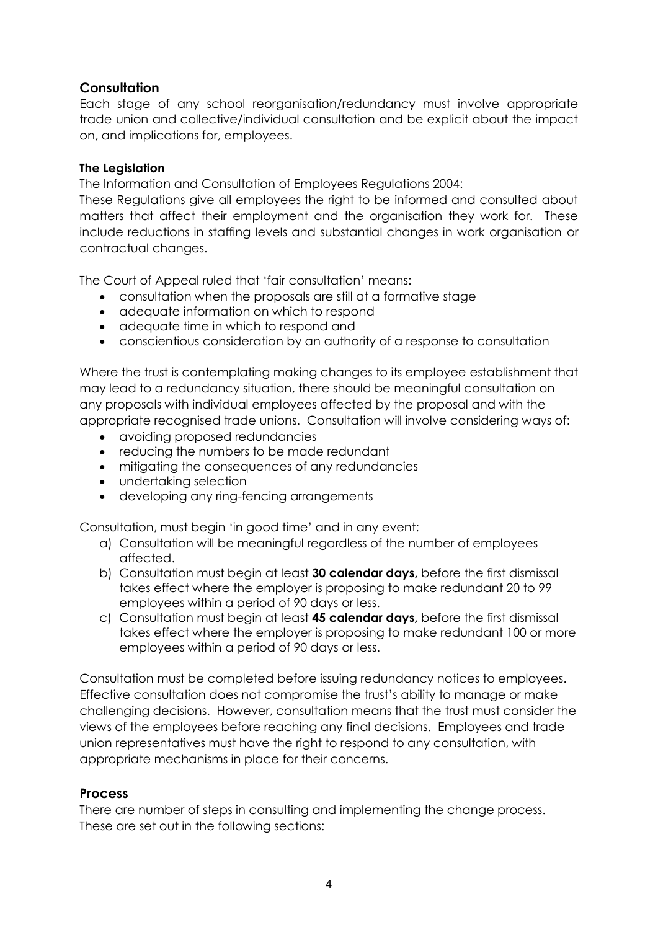# **Consultation**

Each stage of any school reorganisation/redundancy must involve appropriate trade union and collective/individual consultation and be explicit about the impact on, and implications for, employees.

#### **The Legislation**

The Information and Consultation of Employees Regulations 2004:

These Regulations give all employees the right to be informed and consulted about matters that affect their employment and the organisation they work for. These include reductions in staffing levels and substantial changes in work organisation or contractual changes.

The Court of Appeal ruled that 'fair consultation' means:

- consultation when the proposals are still at a formative stage
- adequate information on which to respond
- adequate time in which to respond and
- conscientious consideration by an authority of a response to consultation

Where the trust is contemplating making changes to its employee establishment that may lead to a redundancy situation, there should be meaningful consultation on any proposals with individual employees affected by the proposal and with the appropriate recognised trade unions. Consultation will involve considering ways of:

- avoiding proposed redundancies
- reducing the numbers to be made redundant
- $\bullet$  mitigating the consequences of any redundancies
- undertaking selection
- developing any ring-fencing arrangements

Consultation, must begin 'in good time' and in any event:

- a) Consultation will be meaningful regardless of the number of employees affected.
- b) Consultation must begin at least **30 calendar days,** before the first dismissal takes effect where the employer is proposing to make redundant 20 to 99 employees within a period of 90 days or less.
- c) Consultation must begin at least **45 calendar days,** before the first dismissal takes effect where the employer is proposing to make redundant 100 or more employees within a period of 90 days or less.

Consultation must be completed before issuing redundancy notices to employees. Effective consultation does not compromise the trust's ability to manage or make challenging decisions. However, consultation means that the trust must consider the views of the employees before reaching any final decisions. Employees and trade union representatives must have the right to respond to any consultation, with appropriate mechanisms in place for their concerns.

# **Process**

There are number of steps in consulting and implementing the change process. These are set out in the following sections: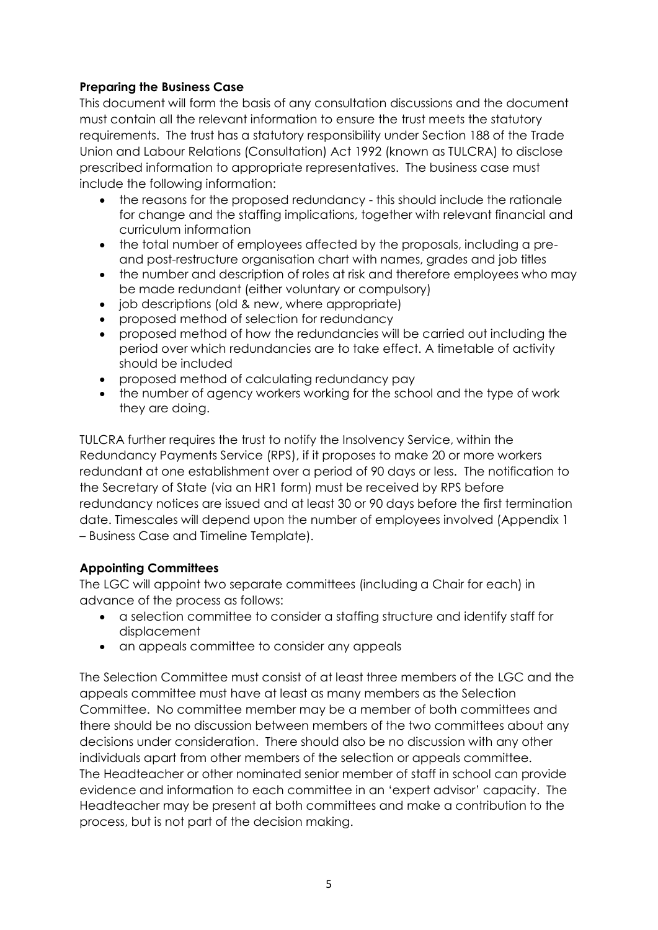# **Preparing the Business Case**

This document will form the basis of any consultation discussions and the document must contain all the relevant information to ensure the trust meets the statutory requirements. The trust has a statutory responsibility under Section 188 of the Trade Union and Labour Relations (Consultation) Act 1992 (known as TULCRA) to disclose prescribed information to appropriate representatives. The business case must include the following information:

- the reasons for the proposed redundancy this should include the rationale for change and the staffing implications, together with relevant financial and curriculum information
- the total number of employees affected by the proposals, including a preand post-restructure organisation chart with names, grades and job titles
- the number and description of roles at risk and therefore employees who may be made redundant (either voluntary or compulsory)
- job descriptions (old & new, where appropriate)
- proposed method of selection for redundancy
- proposed method of how the redundancies will be carried out including the period over which redundancies are to take effect. A timetable of activity should be included
- proposed method of calculating redundancy pay
- the number of agency workers working for the school and the type of work they are doing.

TULCRA further requires the trust to notify the Insolvency Service, within the Redundancy Payments Service (RPS), if it proposes to make 20 or more workers redundant at one establishment over a period of 90 days or less. The notification to the Secretary of State (via an HR1 form) must be received by RPS before redundancy notices are issued and at least 30 or 90 days before the first termination date. Timescales will depend upon the number of employees involved (Appendix 1 – Business Case and Timeline Template).

# **Appointing Committees**

The LGC will appoint two separate committees (including a Chair for each) in advance of the process as follows:

- a selection committee to consider a staffing structure and identify staff for displacement
- an appeals committee to consider any appeals

The Selection Committee must consist of at least three members of the LGC and the appeals committee must have at least as many members as the Selection Committee. No committee member may be a member of both committees and there should be no discussion between members of the two committees about any decisions under consideration. There should also be no discussion with any other individuals apart from other members of the selection or appeals committee. The Headteacher or other nominated senior member of staff in school can provide evidence and information to each committee in an 'expert advisor' capacity. The Headteacher may be present at both committees and make a contribution to the process, but is not part of the decision making.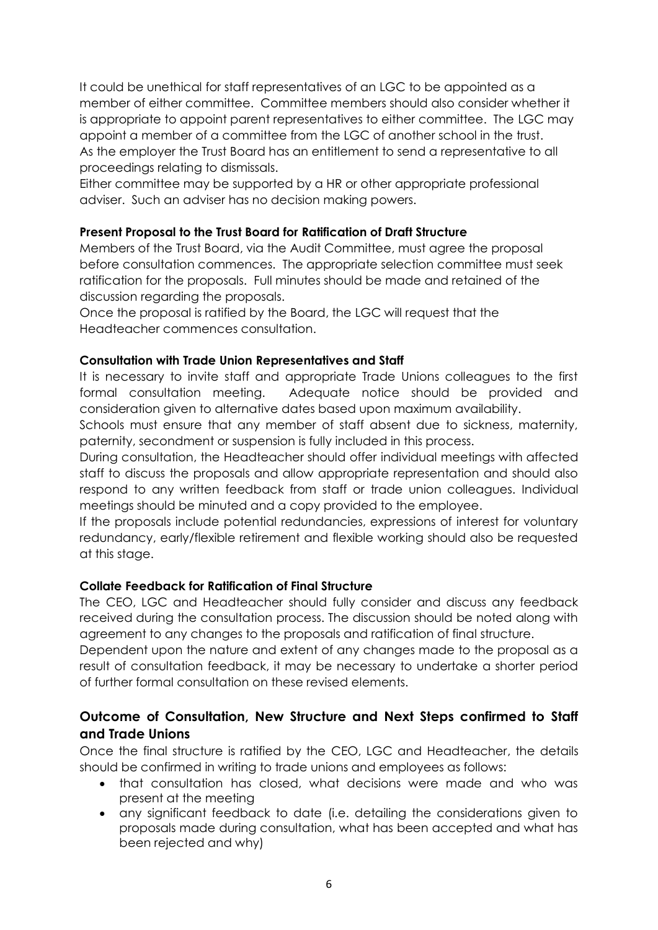It could be unethical for staff representatives of an LGC to be appointed as a member of either committee. Committee members should also consider whether it is appropriate to appoint parent representatives to either committee. The LGC may appoint a member of a committee from the LGC of another school in the trust. As the employer the Trust Board has an entitlement to send a representative to all proceedings relating to dismissals.

Either committee may be supported by a HR or other appropriate professional adviser. Such an adviser has no decision making powers.

#### **Present Proposal to the Trust Board for Ratification of Draft Structure**

Members of the Trust Board, via the Audit Committee, must agree the proposal before consultation commences. The appropriate selection committee must seek ratification for the proposals. Full minutes should be made and retained of the discussion regarding the proposals.

Once the proposal is ratified by the Board, the LGC will request that the Headteacher commences consultation.

#### **Consultation with Trade Union Representatives and Staff**

It is necessary to invite staff and appropriate Trade Unions colleagues to the first formal consultation meeting. Adequate notice should be provided and consideration given to alternative dates based upon maximum availability.

Schools must ensure that any member of staff absent due to sickness, maternity, paternity, secondment or suspension is fully included in this process.

During consultation, the Headteacher should offer individual meetings with affected staff to discuss the proposals and allow appropriate representation and should also respond to any written feedback from staff or trade union colleagues. Individual meetings should be minuted and a copy provided to the employee.

If the proposals include potential redundancies, expressions of interest for voluntary redundancy, early/flexible retirement and flexible working should also be requested at this stage.

#### **Collate Feedback for Ratification of Final Structure**

The CEO, LGC and Headteacher should fully consider and discuss any feedback received during the consultation process. The discussion should be noted along with agreement to any changes to the proposals and ratification of final structure.

Dependent upon the nature and extent of any changes made to the proposal as a result of consultation feedback, it may be necessary to undertake a shorter period of further formal consultation on these revised elements.

# **Outcome of Consultation, New Structure and Next Steps confirmed to Staff and Trade Unions**

Once the final structure is ratified by the CEO, LGC and Headteacher, the details should be confirmed in writing to trade unions and employees as follows:

- that consultation has closed, what decisions were made and who was present at the meeting
- any significant feedback to date (i.e. detailing the considerations given to proposals made during consultation, what has been accepted and what has been rejected and why)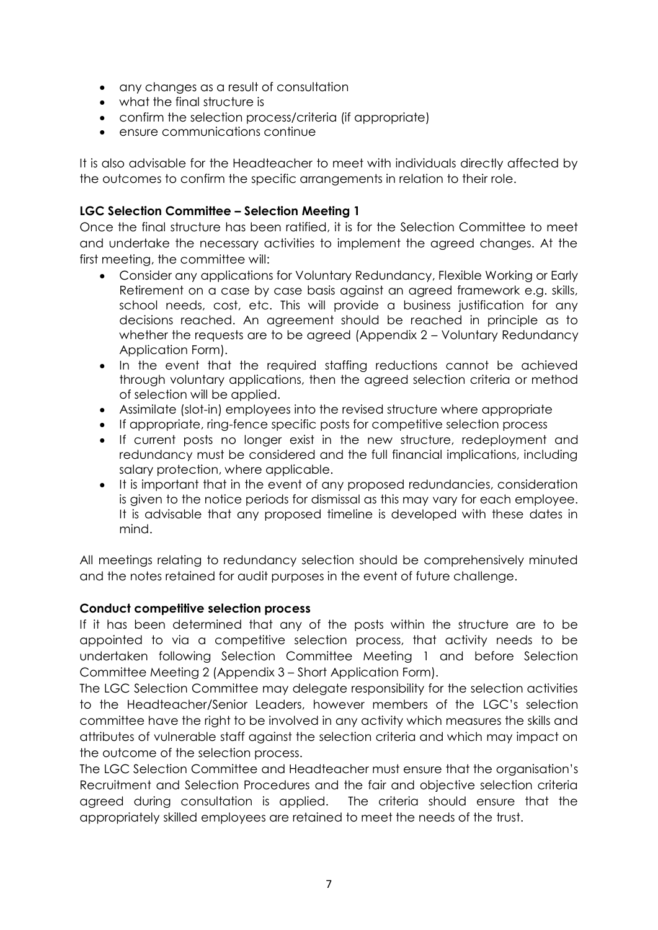- any changes as a result of consultation
- what the final structure is
- confirm the selection process/criteria (if appropriate)
- ensure communications continue

It is also advisable for the Headteacher to meet with individuals directly affected by the outcomes to confirm the specific arrangements in relation to their role.

#### **LGC Selection Committee – Selection Meeting 1**

Once the final structure has been ratified, it is for the Selection Committee to meet and undertake the necessary activities to implement the agreed changes. At the first meeting, the committee will:

- Consider any applications for Voluntary Redundancy, Flexible Working or Early Retirement on a case by case basis against an agreed framework e.g. skills, school needs, cost, etc. This will provide a business justification for any decisions reached. An agreement should be reached in principle as to whether the requests are to be agreed (Appendix 2 – Voluntary Redundancy Application Form).
- In the event that the required staffing reductions cannot be achieved through voluntary applications, then the agreed selection criteria or method of selection will be applied.
- Assimilate (slot-in) employees into the revised structure where appropriate
- If appropriate, ring-fence specific posts for competitive selection process
- If current posts no longer exist in the new structure, redeployment and redundancy must be considered and the full financial implications, including salary protection, where applicable.
- It is important that in the event of any proposed redundancies, consideration is given to the notice periods for dismissal as this may vary for each employee. It is advisable that any proposed timeline is developed with these dates in mind.

All meetings relating to redundancy selection should be comprehensively minuted and the notes retained for audit purposes in the event of future challenge.

#### **Conduct competitive selection process**

If it has been determined that any of the posts within the structure are to be appointed to via a competitive selection process, that activity needs to be undertaken following Selection Committee Meeting 1 and before Selection Committee Meeting 2 (Appendix 3 – Short Application Form).

The LGC Selection Committee may delegate responsibility for the selection activities to the Headteacher/Senior Leaders, however members of the LGC's selection committee have the right to be involved in any activity which measures the skills and attributes of vulnerable staff against the selection criteria and which may impact on the outcome of the selection process.

The LGC Selection Committee and Headteacher must ensure that the organisation's Recruitment and Selection Procedures and the fair and objective selection criteria agreed during consultation is applied. The criteria should ensure that the appropriately skilled employees are retained to meet the needs of the trust.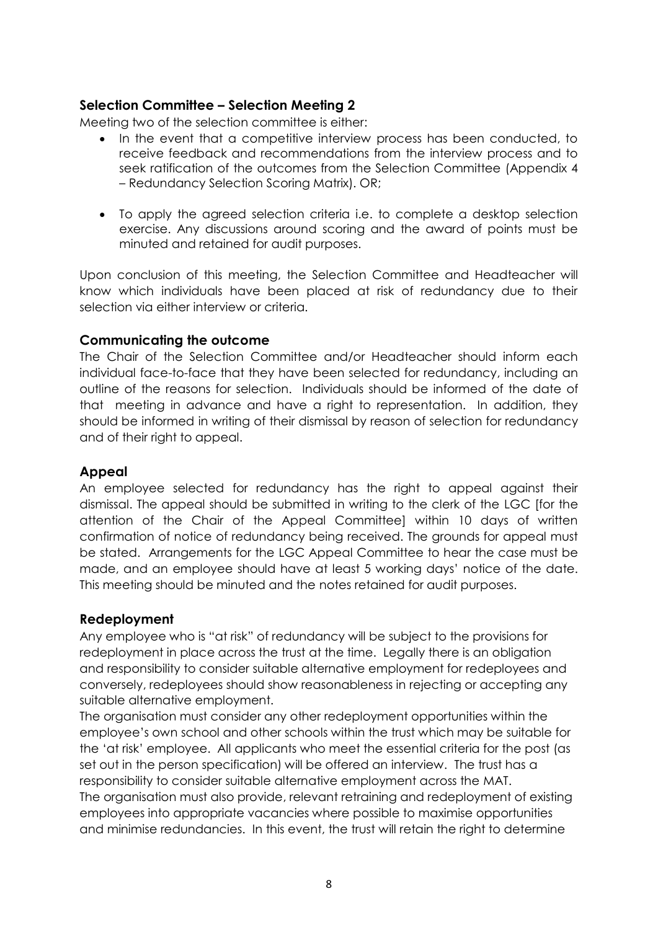# **Selection Committee – Selection Meeting 2**

Meeting two of the selection committee is either:

- In the event that a competitive interview process has been conducted, to receive feedback and recommendations from the interview process and to seek ratification of the outcomes from the Selection Committee (Appendix 4 – Redundancy Selection Scoring Matrix). OR;
- To apply the agreed selection criteria i.e. to complete a desktop selection exercise. Any discussions around scoring and the award of points must be minuted and retained for audit purposes.

Upon conclusion of this meeting, the Selection Committee and Headteacher will know which individuals have been placed at risk of redundancy due to their selection via either interview or criteria.

#### **Communicating the outcome**

The Chair of the Selection Committee and/or Headteacher should inform each individual face-to-face that they have been selected for redundancy, including an outline of the reasons for selection. Individuals should be informed of the date of that meeting in advance and have a right to representation. In addition, they should be informed in writing of their dismissal by reason of selection for redundancy and of their right to appeal.

#### **Appeal**

An employee selected for redundancy has the right to appeal against their dismissal. The appeal should be submitted in writing to the clerk of the LGC [for the attention of the Chair of the Appeal Committee] within 10 days of written confirmation of notice of redundancy being received. The grounds for appeal must be stated. Arrangements for the LGC Appeal Committee to hear the case must be made, and an employee should have at least 5 working days' notice of the date. This meeting should be minuted and the notes retained for audit purposes.

#### **Redeployment**

Any employee who is "at risk" of redundancy will be subject to the provisions for redeployment in place across the trust at the time. Legally there is an obligation and responsibility to consider suitable alternative employment for redeployees and conversely, redeployees should show reasonableness in rejecting or accepting any suitable alternative employment.

The organisation must consider any other redeployment opportunities within the employee's own school and other schools within the trust which may be suitable for the 'at risk' employee. All applicants who meet the essential criteria for the post (as set out in the person specification) will be offered an interview. The trust has a responsibility to consider suitable alternative employment across the MAT. The organisation must also provide, relevant retraining and redeployment of existing employees into appropriate vacancies where possible to maximise opportunities and minimise redundancies. In this event, the trust will retain the right to determine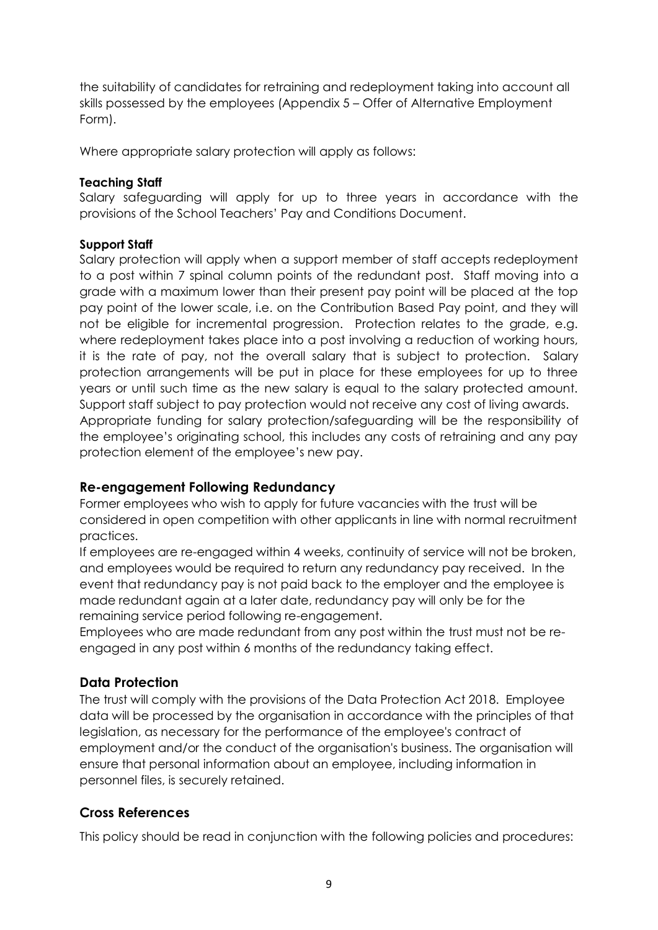the suitability of candidates for retraining and redeployment taking into account all skills possessed by the employees (Appendix 5 – Offer of Alternative Employment Form).

Where appropriate salary protection will apply as follows:

#### **Teaching Staff**

Salary safeguarding will apply for up to three years in accordance with the provisions of the School Teachers' Pay and Conditions Document.

#### **Support Staff**

Salary protection will apply when a support member of staff accepts redeployment to a post within 7 spinal column points of the redundant post. Staff moving into a grade with a maximum lower than their present pay point will be placed at the top pay point of the lower scale, i.e. on the Contribution Based Pay point, and they will not be eligible for incremental progression. Protection relates to the grade, e.g. where redeployment takes place into a post involving a reduction of working hours, it is the rate of pay, not the overall salary that is subject to protection. Salary protection arrangements will be put in place for these employees for up to three years or until such time as the new salary is equal to the salary protected amount. Support staff subject to pay protection would not receive any cost of living awards. Appropriate funding for salary protection/safeguarding will be the responsibility of the employee's originating school, this includes any costs of retraining and any pay protection element of the employee's new pay.

# **Re-engagement Following Redundancy**

Former employees who wish to apply for future vacancies with the trust will be considered in open competition with other applicants in line with normal recruitment practices.

If employees are re-engaged within 4 weeks, continuity of service will not be broken, and employees would be required to return any redundancy pay received. In the event that redundancy pay is not paid back to the employer and the employee is made redundant again at a later date, redundancy pay will only be for the remaining service period following re-engagement.

Employees who are made redundant from any post within the trust must not be reengaged in any post within 6 months of the redundancy taking effect.

# **Data Protection**

The trust will comply with the provisions of the Data Protection Act 2018. Employee data will be processed by the organisation in accordance with the principles of that legislation, as necessary for the performance of the employee's contract of employment and/or the conduct of the organisation's business. The organisation will ensure that personal information about an employee, including information in personnel files, is securely retained.

# **Cross References**

This policy should be read in conjunction with the following policies and procedures: